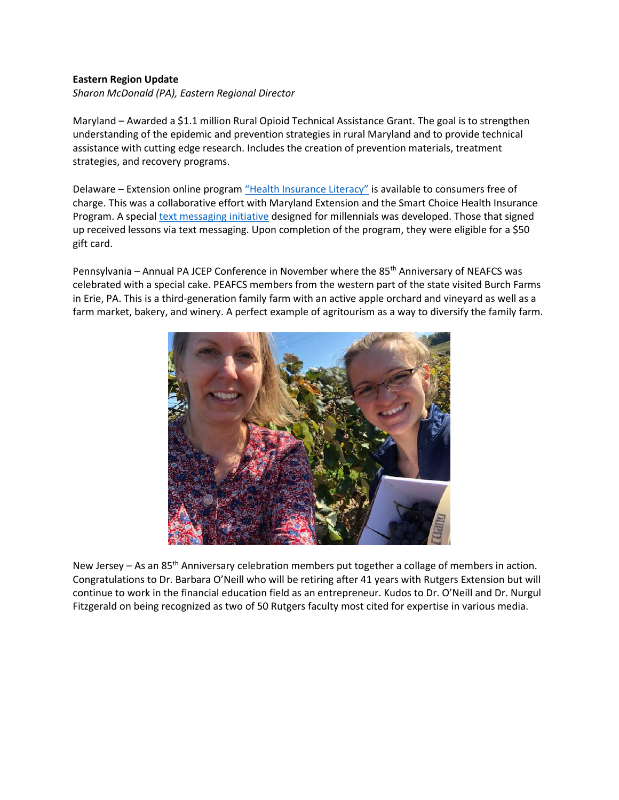## **Eastern Region Update**

*Sharon McDonald (PA), Eastern Regional Director* 

Maryland – Awarded a \$1.1 million Rural Opioid Technical Assistance Grant. The goal is to strengthen understanding of the epidemic and prevention strategies in rural Maryland and to provide technical assistance with cutting edge research. Includes the creation of prevention materials, treatment strategies, and recovery programs.

Delaware – Extension online program ["Health Insurance Literacy"](https://www.udel.edu/academics/colleges/canr/cooperative-extension/nutrition-wellness/health-insurance/health-insurance-4-u/) is available to consumers free of charge. This was a collaborative effort with Maryland Extension and the Smart Choice Health Insurance Program. A specia[l text messaging initiative](https://www.udel.edu/canr/cooperative-extension/nutrition-wellness/health-insurance/) designed for millennials was developed. Those that signed up received lessons via text messaging. Upon completion of the program, they were eligible for a \$50 gift card.

Pennsylvania – Annual PA JCEP Conference in November where the 85<sup>th</sup> Anniversary of NEAFCS was celebrated with a special cake. PEAFCS members from the western part of the state visited Burch Farms in Erie, PA. This is a third-generation family farm with an active apple orchard and vineyard as well as a farm market, bakery, and winery. A perfect example of agritourism as a way to diversify the family farm.



New Jersey – As an  $85<sup>th</sup>$  Anniversary celebration members put together a collage of members in action. Congratulations to Dr. Barbara O'Neill who will be retiring after 41 years with Rutgers Extension but will continue to work in the financial education field as an entrepreneur. Kudos to Dr. O'Neill and Dr. Nurgul Fitzgerald on being recognized as two of 50 Rutgers faculty most cited for expertise in various media.